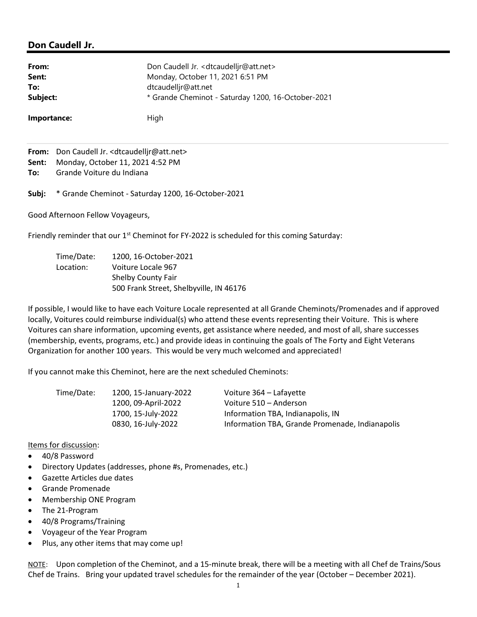## Don Caudell Jr.

| From:       | Don Caudell Jr. < dtcaudelljr@att.net>             |
|-------------|----------------------------------------------------|
| Sent:       | Monday, October 11, 2021 6:51 PM                   |
| To:         | dtcaudellir@att.net                                |
| Subject:    | * Grande Cheminot - Saturday 1200, 16-October-2021 |
| Importance: | High                                               |

From: Don Caudell Jr. <dtcaudelljr@att.net> Sent: Monday, October 11, 2021 4:52 PM To: Grande Voiture du Indiana

Subj: \* Grande Cheminot - Saturday 1200, 16-October-2021

Good Afternoon Fellow Voyageurs,

Friendly reminder that our 1<sup>st</sup> Cheminot for FY-2022 is scheduled for this coming Saturday:

| Time/Date: | 1200, 16-October-2021                   |
|------------|-----------------------------------------|
| Location:  | Voiture Locale 967                      |
|            | <b>Shelby County Fair</b>               |
|            | 500 Frank Street, Shelbyville, IN 46176 |

If possible, I would like to have each Voiture Locale represented at all Grande Cheminots/Promenades and if approved locally, Voitures could reimburse individual(s) who attend these events representing their Voiture. This is where Voitures can share information, upcoming events, get assistance where needed, and most of all, share successes (membership, events, programs, etc.) and provide ideas in continuing the goals of The Forty and Eight Veterans Organization for another 100 years. This would be very much welcomed and appreciated!

If you cannot make this Cheminot, here are the next scheduled Cheminots:

| Time/Date: | 1200, 15-January-2022 | Voiture 364 – Lafayette                         |
|------------|-----------------------|-------------------------------------------------|
|            | 1200, 09-April-2022   | Voiture 510 – Anderson                          |
|            | 1700, 15-July-2022    | Information TBA, Indianapolis, IN               |
|            | 0830, 16-July-2022    | Information TBA, Grande Promenade, Indianapolis |

## Items for discussion:

- 40/8 Password
- Directory Updates (addresses, phone #s, Promenades, etc.)
- Gazette Articles due dates
- Grande Promenade
- Membership ONE Program
- The 21-Program
- 40/8 Programs/Training
- Voyageur of the Year Program
- Plus, any other items that may come up!

NOTE: Upon completion of the Cheminot, and a 15-minute break, there will be a meeting with all Chef de Trains/Sous Chef de Trains. Bring your updated travel schedules for the remainder of the year (October – December 2021).